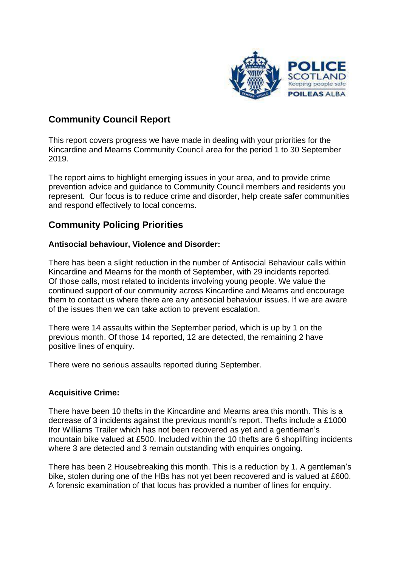

## **Community Council Report**

This report covers progress we have made in dealing with your priorities for the Kincardine and Mearns Community Council area for the period 1 to 30 September 2019.

The report aims to highlight emerging issues in your area, and to provide crime prevention advice and guidance to Community Council members and residents you represent. Our focus is to reduce crime and disorder, help create safer communities and respond effectively to local concerns.

### **Community Policing Priorities**

#### **Antisocial behaviour, Violence and Disorder:**

There has been a slight reduction in the number of Antisocial Behaviour calls within Kincardine and Mearns for the month of September, with 29 incidents reported. Of those calls, most related to incidents involving young people. We value the continued support of our community across Kincardine and Mearns and encourage them to contact us where there are any antisocial behaviour issues. If we are aware of the issues then we can take action to prevent escalation.

There were 14 assaults within the September period, which is up by 1 on the previous month. Of those 14 reported, 12 are detected, the remaining 2 have positive lines of enquiry.

There were no serious assaults reported during September.

#### **Acquisitive Crime:**

There have been 10 thefts in the Kincardine and Mearns area this month. This is a decrease of 3 incidents against the previous month's report. Thefts include a £1000 Ifor Williams Trailer which has not been recovered as yet and a gentleman's mountain bike valued at £500. Included within the 10 thefts are 6 shoplifting incidents where 3 are detected and 3 remain outstanding with enquiries ongoing.

There has been 2 Housebreaking this month. This is a reduction by 1. A gentleman's bike, stolen during one of the HBs has not yet been recovered and is valued at £600. A forensic examination of that locus has provided a number of lines for enquiry.